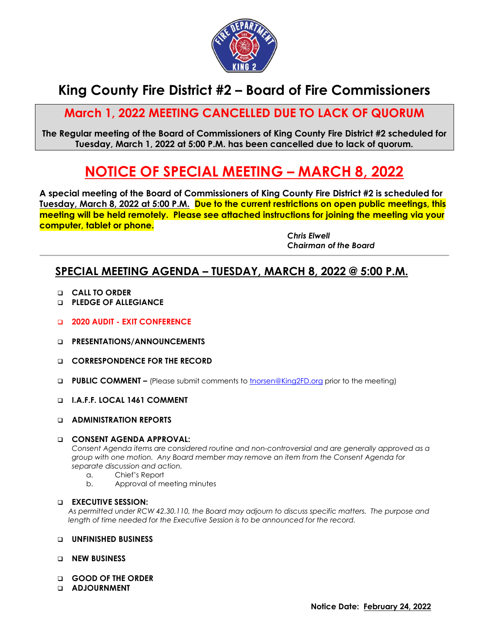

# **King County Fire District #2 – Board of Fire Commissioners**

## **March 1, 2022 MEETING CANCELLED DUE TO LACK OF QUORUM**

**The Regular meeting of the Board of Commissioners of King County Fire District #2 scheduled for Tuesday, March 1, 2022 at 5:00 P.M. has been cancelled due to lack of quorum.**

# **NOTICE OF SPECIAL MEETING – MARCH 8, 2022**

**A special meeting of the Board of Commissioners of King County Fire District #2 is scheduled for Tuesday, March 8, 2022 at 5:00 P.M. Due to the current restrictions on open public meetings, this meeting will be held remotely. Please see attached instructions for joining the meeting via your computer, tablet or phone.**

> *Chris Elwell Chairman of the Board*

### **SPECIAL MEETING AGENDA – TUESDAY, MARCH 8, 2022 @ 5:00 P.M.**

- **CALL TO ORDER**
- **PLEDGE OF ALLEGIANCE**
- **2020 AUDIT - EXIT CONFERENCE**
- **D** PRESENTATIONS/ANNOUNCEMENTS
- **CORRESPONDENCE FOR THE RECORD**
- **PUBLIC COMMENT –** (Please submit comments to [tnorsen@King2FD.org](mailto:tnorsen@King2FD.org) prior to the meeting)
- **I.A.F.F. LOCAL 1461 COMMENT**
- **ADMINISTRATION REPORTS**

#### **CONSENT AGENDA APPROVAL:**

*Consent Agenda items are considered routine and non-controversial and are generally approved as a group with one motion. Any Board member may remove an item from the Consent Agenda for separate discussion and action.*

- a. Chief's Report
- b. Approval of meeting minutes

#### **EXECUTIVE SESSION:**

*As permitted under RCW 42.30.110, the Board may adjourn to discuss specific matters. The purpose and length of time needed for the Executive Session is to be announced for the record.*

#### **UNFINISHED BUSINESS**

- **NEW BUSINESS**
- **GOOD OF THE ORDER**
- **ADJOURNMENT**